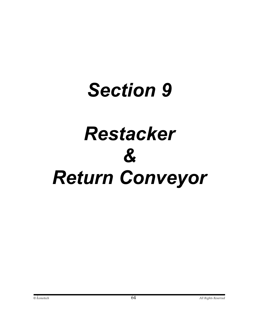# *Section 9 Restacker & Return Conveyor*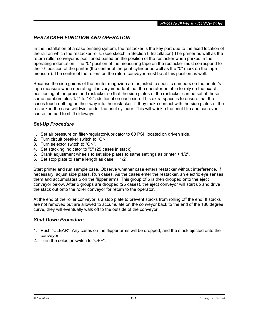# *RESTACKER FUNCTION AND OPERATION*

In the installation of a case printing system, the restacker is the key part due to the fixed location of the rail on which the restacker rolls. (see sketch in Section I, Installation) The printer as well as the return roller conveyor is positioned based on the position of the restacker when parked in the operating indentation. The "0" position of the measuring tape on the restacker must correspond to the "0" position of the printer (the center of the print cylinder as well as the "0" mark on the tape measure). The center of the rollers on the return conveyor must be at this position as well.

Because the side guides of the printer magazine are adjusted to specific numbers on the printer's tape measure when operating, it is very important that the operator be able to rely on the exact positioning of the press and restacker so that the side plates of the restacker can be set at those same numbers plus 1/4" to 1/2" additional on each side. This extra space is to ensure that the cases touch nothing on their way into the restacker. If they make contact with the side plates of the restacker, the case will twist under the print cylinder. This will wrinkle the print film and can even cause the pad to shift sideways.

# *Set-Up Procedure*

- 1. Set air pressure on filter-regulator-lubricator to 60 PSI, located on driven side.
- 2. Turn circuit breaker switch to "ON".
- 3. Turn selector switch to "ON".
- 4. Set stacking indicator to "5" (25 cases in stack)
- 5. Crank adjustment wheels to set side plates to same settings as printer + 1/2".
- 6. Set stop plate to same length as case, + 1/2".

Start printer and run sample case. Observe whether case enters restacker without interference. If necessary, adjust side plates. Run cases. As the cases enter the restacker, an electric eye senses them and accumulates 5 on the flipper arms. This group of 5 is then dropped onto the eject conveyor below. After 5 groups are dropped (25 cases), the eject conveyor will start up and drive the stack out onto the roller conveyor for return to the operator.

At the end of the roller conveyor is a stop plate to prevent stacks from rolling off the end. If stacks are not removed but are allowed to accumulate on the conveyor back to the end of the 180 degree curve, they will eventually walk off to the outside of the conveyor.

### *Shut-Down Procedure*

- 1. Push "CLEAR". Any cases on the flipper arms will be dropped, and the stack ejected onto the conveyor.
- 2. Turn the selector switch to "OFF".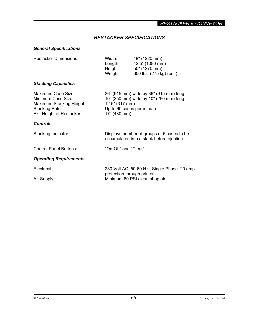# *RESTACKER SPECIFICATIONS*

# *General Specifications*

| Width:<br>Length:<br>Height:<br>Weight:                                                                                                         | 48" (1220 mm)<br>42.5" (1080 mm)<br>50" (1270 mm)<br>600 lbs. (275 kg) (est.) |
|-------------------------------------------------------------------------------------------------------------------------------------------------|-------------------------------------------------------------------------------|
|                                                                                                                                                 |                                                                               |
| 36" (915 mm) wide by 36" (915 mm) long<br>10" (250 mm) wide by 10" (250 mm) long<br>12.5" (317 mm)<br>Up to 60 cases per minute<br>17" (430 mm) |                                                                               |
|                                                                                                                                                 |                                                                               |
| Displays number of groups of 5 cases to be<br>accumulated into a stack before ejection                                                          |                                                                               |
| "On-Off" and "Clear"                                                                                                                            |                                                                               |
|                                                                                                                                                 |                                                                               |
|                                                                                                                                                 | 230 Volt AC, 50-60 Hz., Single Phase. 20 amp                                  |
|                                                                                                                                                 | Minimum 80 PSI clean shop air                                                 |
|                                                                                                                                                 | protection through printer                                                    |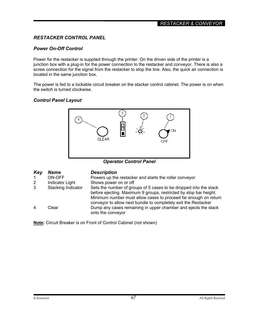# *RESTACKER CONTROL PANEL*

## *Power On-Off Control*

Power for the restacker is supplied through the printer. On the driven side of the printer is a junction box with a plug-in for the power connection to the restacker and conveyor. There is also a screw connection for the signal from the restacker to stop the line. Also, the quick air connection is located in the same junction box.

The power is fed to a lockable circuit breaker on the stacker control cabinet. The power is on when the switch is turned clockwise.

# *Control Panel Layout*



*Operator Control Panel*

| Key              | <b>Name</b>        | <b>Description</b>                                                                                                                                                                                                                                                          |
|------------------|--------------------|-----------------------------------------------------------------------------------------------------------------------------------------------------------------------------------------------------------------------------------------------------------------------------|
|                  | ON-OFF             | Powers up the restacker and starts the roller conveyor                                                                                                                                                                                                                      |
| 2                | Indicator Light    | Shows power on or off                                                                                                                                                                                                                                                       |
| $\mathbf{3}$     | Stacking Indicator | Sets the number of groups of 5 cases to be dropped into the stack<br>before ejecting. Maximum 9 groups, restricted by stop bar height.<br>Minimum number must allow cases to proceed far enough on return<br>conveyor to allow next bundle to completely exit the Restacker |
| $\boldsymbol{4}$ | Clear              | Dump any cases remaining in upper chamber and ejects the stack<br>onto the conveyor                                                                                                                                                                                         |

**Note:** Circuit Breaker is on Front of Control Cabinet (not shown)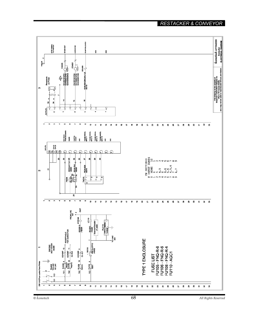# *\_RESTACKER & CONVEYOR\_*

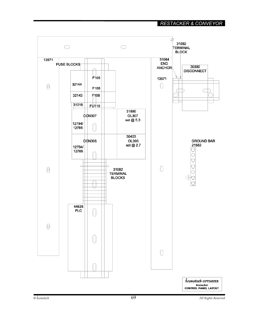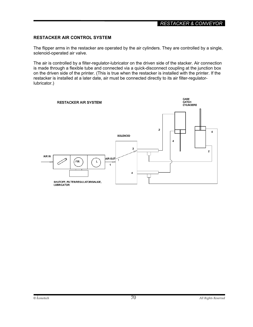### **RESTACKER AIR CONTROL SYSTEM**

The flipper arms in the restacker are operated by the air cylinders. They are controlled by a single, solenoid-operated air valve.

The air is controlled by a filter-regulator-lubricator on the driven side of the stacker. Air connection is made through a flexible tube and connected via a quick-disconnect coupling at the junction box on the driven side of the printer. (This is true when the restacker is installed with the printer. If the restacker is installed at a later date, air must be connected directly to its air filter-regulatorlubricator.)